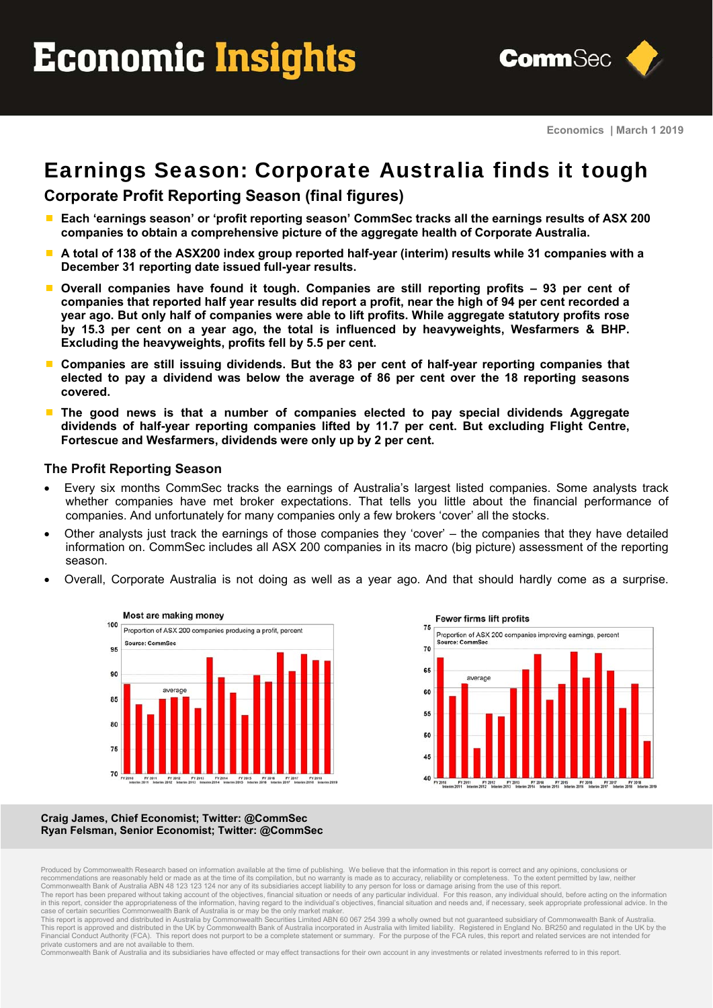# Economic Insights



# Earnings Season: Corporate Australia finds it tough

## **Corporate Profit Reporting Season (final figures)**

- **Each 'earnings season' or 'profit reporting season' CommSec tracks all the earnings results of ASX 200 companies to obtain a comprehensive picture of the aggregate health of Corporate Australia.**
- **A total of 138 of the ASX200 index group reported half-year (interim) results while 31 companies with a December 31 reporting date issued full-year results.**
- **Overall companies have found it tough. Companies are still reporting profits 93 per cent of companies that reported half year results did report a profit, near the high of 94 per cent recorded a year ago. But only half of companies were able to lift profits. While aggregate statutory profits rose by 15.3 per cent on a year ago, the total is influenced by heavyweights, Wesfarmers & BHP. Excluding the heavyweights, profits fell by 5.5 per cent.**
- **Companies are still issuing dividends. But the 83 per cent of half-year reporting companies that elected to pay a dividend was below the average of 86 per cent over the 18 reporting seasons covered.**
- **The good news is that a number of companies elected to pay special dividends Aggregate dividends of half-year reporting companies lifted by 11.7 per cent. But excluding Flight Centre, Fortescue and Wesfarmers, dividends were only up by 2 per cent.**

#### **The Profit Reporting Season**

- Every six months CommSec tracks the earnings of Australia's largest listed companies. Some analysts track whether companies have met broker expectations. That tells you little about the financial performance of companies. And unfortunately for many companies only a few brokers 'cover' all the stocks.
- Other analysts just track the earnings of those companies they 'cover' the companies that they have detailed information on. CommSec includes all ASX 200 companies in its macro (big picture) assessment of the reporting season.
- Overall, Corporate Australia is not doing as well as a year ago. And that should hardly come as a surprise.





#### **Craig James, Chief Economist; Twitter: @CommSec Ryan Felsman, Senior Economist; Twitter: @CommSec**

The report has been prepared without taking account of the objectives, financial situation or needs of any particular individual. For this reason, any individual should, before acting on the information<br>in this report, con

Financial Conduct Authority (FCA). This report does not purport to be a complete statement or summary. For the purpose of the FCA rules, this report and related services are not intended for private customers and are not available to them.

Commonwealth Bank of Australia and its subsidiaries have effected or may effect transactions for their own account in any investments or related investments referred to in this report.

Produced by Commonwealth Research based on information available at the time of publishing. We believe that the information in this report is correct and any opinions, conclusions or recommendations are reasonably held or made as at the time of its compilation, but no warranty is made as to accuracy, reliability or completeness. To the extent permitted by law, neither Commonwealth Bank of Australia ABN 48 123 123 124 nor any of its subsidiaries accept liability to any person for loss or damage arising from the use of this report.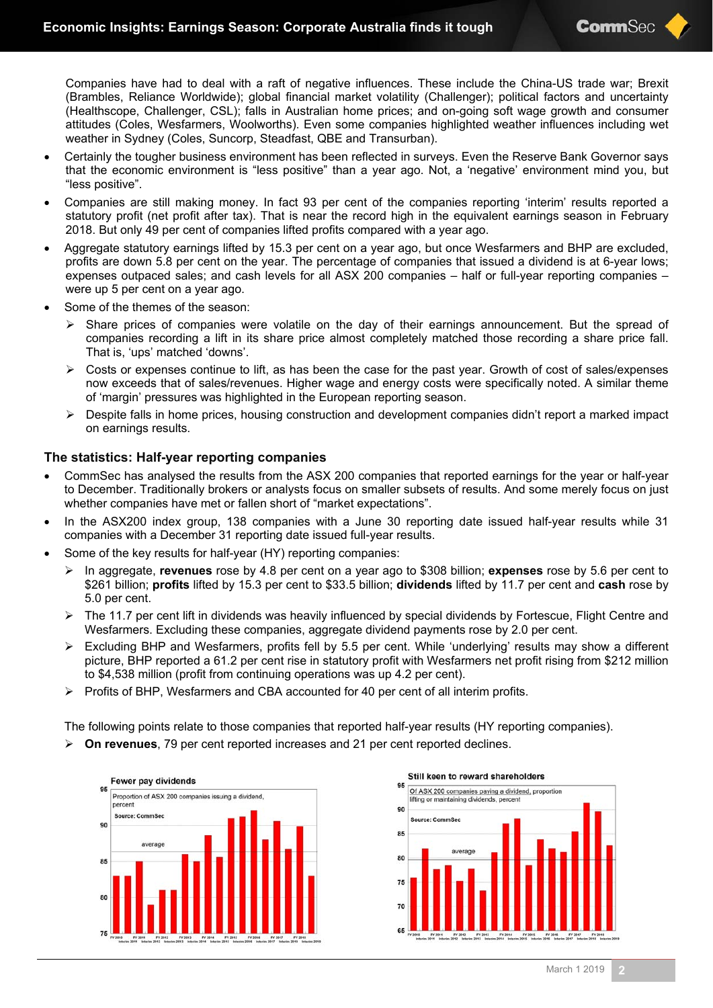Companies have had to deal with a raft of negative influences. These include the China-US trade war; Brexit (Brambles, Reliance Worldwide); global financial market volatility (Challenger); political factors and uncertainty (Healthscope, Challenger, CSL); falls in Australian home prices; and on-going soft wage growth and consumer attitudes (Coles, Wesfarmers, Woolworths). Even some companies highlighted weather influences including wet weather in Sydney (Coles, Suncorp, Steadfast, QBE and Transurban).

- Certainly the tougher business environment has been reflected in surveys. Even the Reserve Bank Governor says that the economic environment is "less positive" than a year ago. Not, a 'negative' environment mind you, but "less positive".
- Companies are still making money. In fact 93 per cent of the companies reporting 'interim' results reported a statutory profit (net profit after tax). That is near the record high in the equivalent earnings season in February 2018. But only 49 per cent of companies lifted profits compared with a year ago.
- Aggregate statutory earnings lifted by 15.3 per cent on a year ago, but once Wesfarmers and BHP are excluded, profits are down 5.8 per cent on the year. The percentage of companies that issued a dividend is at 6-year lows; expenses outpaced sales; and cash levels for all ASX 200 companies – half or full-year reporting companies – were up 5 per cent on a year ago.
- Some of the themes of the season:
	- $\triangleright$  Share prices of companies were volatile on the day of their earnings announcement. But the spread of companies recording a lift in its share price almost completely matched those recording a share price fall. That is, 'ups' matched 'downs'.
	- $\triangleright$  Costs or expenses continue to lift, as has been the case for the past year. Growth of cost of sales/expenses now exceeds that of sales/revenues. Higher wage and energy costs were specifically noted. A similar theme of 'margin' pressures was highlighted in the European reporting season.
	- $\triangleright$  Despite falls in home prices, housing construction and development companies didn't report a marked impact on earnings results.

#### **The statistics: Half-year reporting companies**

- CommSec has analysed the results from the ASX 200 companies that reported earnings for the year or half-year to December. Traditionally brokers or analysts focus on smaller subsets of results. And some merely focus on just whether companies have met or fallen short of "market expectations".
- In the ASX200 index group, 138 companies with a June 30 reporting date issued half-year results while 31 companies with a December 31 reporting date issued full-year results.
- Some of the key results for half-year (HY) reporting companies:
	- In aggregate, **revenues** rose by 4.8 per cent on a year ago to \$308 billion; **expenses** rose by 5.6 per cent to \$261 billion; **profits** lifted by 15.3 per cent to \$33.5 billion; **dividends** lifted by 11.7 per cent and **cash** rose by 5.0 per cent.
	- $\triangleright$  The 11.7 per cent lift in dividends was heavily influenced by special dividends by Fortescue, Flight Centre and Wesfarmers. Excluding these companies, aggregate dividend payments rose by 2.0 per cent.
	- $\triangleright$  Excluding BHP and Wesfarmers, profits fell by 5.5 per cent. While 'underlying' results may show a different picture, BHP reported a 61.2 per cent rise in statutory profit with Wesfarmers net profit rising from \$212 million to \$4,538 million (profit from continuing operations was up 4.2 per cent).
	- $\triangleright$  Profits of BHP, Wesfarmers and CBA accounted for 40 per cent of all interim profits.

The following points relate to those companies that reported half-year results (HY reporting companies).

**On revenues**, 79 per cent reported increases and 21 per cent reported declines.



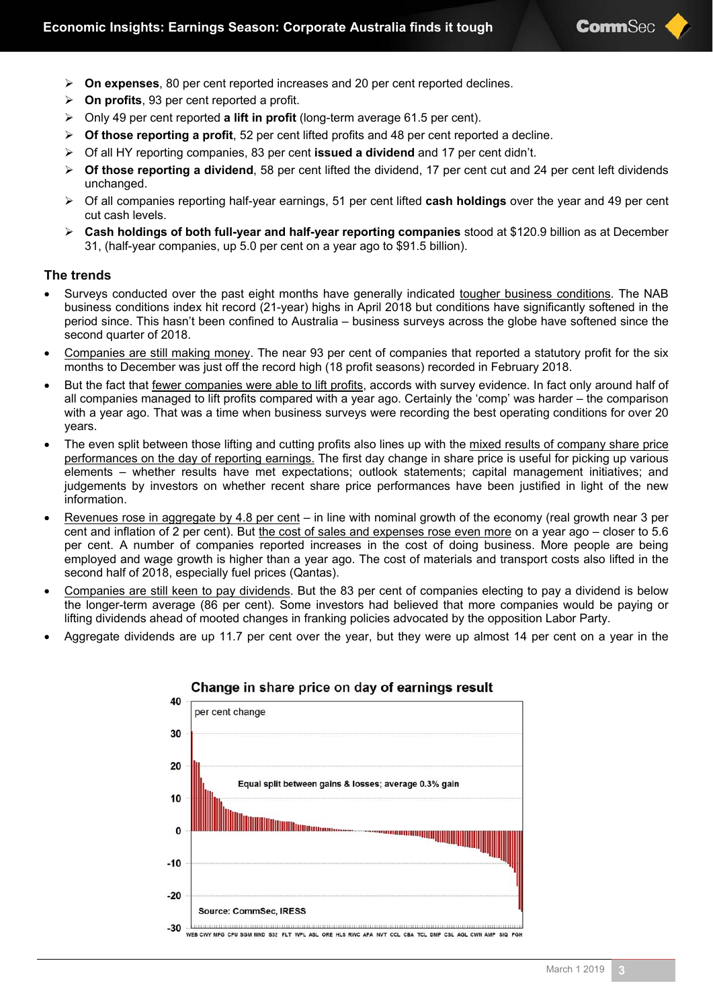- **On expenses**, 80 per cent reported increases and 20 per cent reported declines.
- **On profits**, 93 per cent reported a profit.
- Only 49 per cent reported **a lift in profit** (long-term average 61.5 per cent).
- **Of those reporting a profit**, 52 per cent lifted profits and 48 per cent reported a decline.
- Of all HY reporting companies, 83 per cent **issued a dividend** and 17 per cent didn't.
- **Of those reporting a dividend**, 58 per cent lifted the dividend, 17 per cent cut and 24 per cent left dividends unchanged.
- Of all companies reporting half-year earnings, 51 per cent lifted **cash holdings** over the year and 49 per cent cut cash levels.
- **Cash holdings of both full-year and half-year reporting companies** stood at \$120.9 billion as at December 31, (half-year companies, up 5.0 per cent on a year ago to \$91.5 billion).

#### **The trends**

- Surveys conducted over the past eight months have generally indicated tougher business conditions. The NAB business conditions index hit record (21-year) highs in April 2018 but conditions have significantly softened in the period since. This hasn't been confined to Australia – business surveys across the globe have softened since the second quarter of 2018.
- Companies are still making money. The near 93 per cent of companies that reported a statutory profit for the six months to December was just off the record high (18 profit seasons) recorded in February 2018.
- But the fact that fewer companies were able to lift profits, accords with survey evidence. In fact only around half of all companies managed to lift profits compared with a year ago. Certainly the 'comp' was harder – the comparison with a year ago. That was a time when business surveys were recording the best operating conditions for over 20 years.
- The even split between those lifting and cutting profits also lines up with the mixed results of company share price performances on the day of reporting earnings. The first day change in share price is useful for picking up various elements – whether results have met expectations; outlook statements; capital management initiatives; and judgements by investors on whether recent share price performances have been justified in light of the new information.
- Revenues rose in aggregate by 4.8 per cent in line with nominal growth of the economy (real growth near 3 per cent and inflation of 2 per cent). But the cost of sales and expenses rose even more on a year ago – closer to 5.6 per cent. A number of companies reported increases in the cost of doing business. More people are being employed and wage growth is higher than a year ago. The cost of materials and transport costs also lifted in the second half of 2018, especially fuel prices (Qantas).
- Companies are still keen to pay dividends. But the 83 per cent of companies electing to pay a dividend is below the longer-term average (86 per cent). Some investors had believed that more companies would be paying or lifting dividends ahead of mooted changes in franking policies advocated by the opposition Labor Party.
- Aggregate dividends are up 11.7 per cent over the year, but they were up almost 14 per cent on a year in the



#### Change in share price on day of earnings result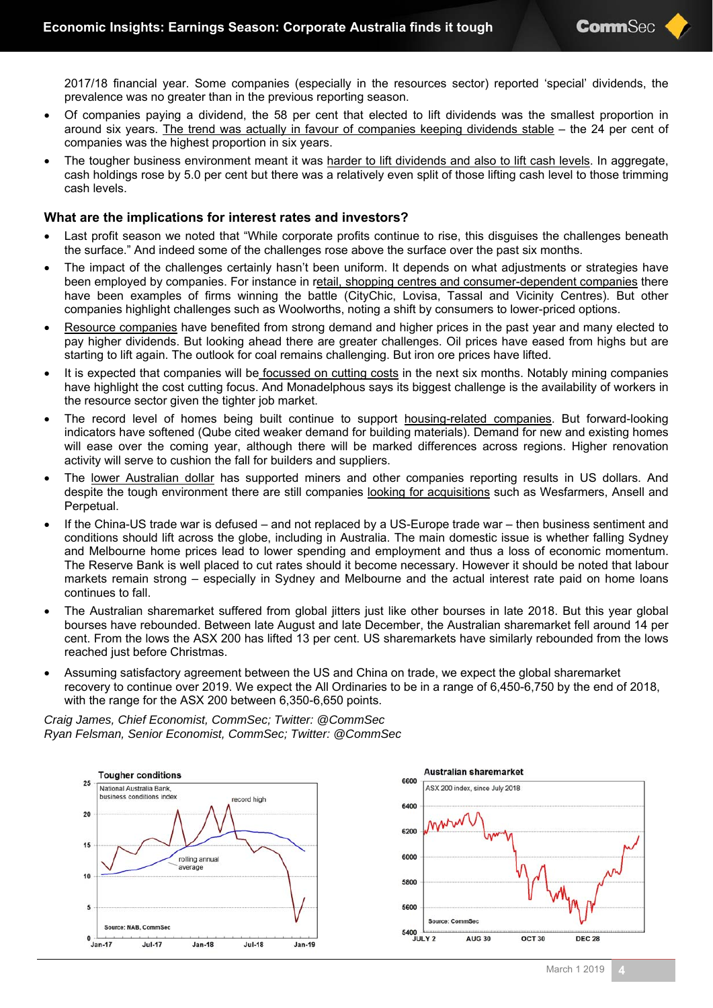2017/18 financial year. Some companies (especially in the resources sector) reported 'special' dividends, the prevalence was no greater than in the previous reporting season.

- Of companies paying a dividend, the 58 per cent that elected to lift dividends was the smallest proportion in around six years. The trend was actually in favour of companies keeping dividends stable – the 24 per cent of companies was the highest proportion in six years.
- The tougher business environment meant it was harder to lift dividends and also to lift cash levels. In aggregate, cash holdings rose by 5.0 per cent but there was a relatively even split of those lifting cash level to those trimming cash levels.

#### **What are the implications for interest rates and investors?**

- Last profit season we noted that "While corporate profits continue to rise, this disguises the challenges beneath the surface." And indeed some of the challenges rose above the surface over the past six months.
- The impact of the challenges certainly hasn't been uniform. It depends on what adjustments or strategies have been employed by companies. For instance in retail, shopping centres and consumer-dependent companies there have been examples of firms winning the battle (CityChic, Lovisa, Tassal and Vicinity Centres). But other companies highlight challenges such as Woolworths, noting a shift by consumers to lower-priced options.
- Resource companies have benefited from strong demand and higher prices in the past year and many elected to pay higher dividends. But looking ahead there are greater challenges. Oil prices have eased from highs but are starting to lift again. The outlook for coal remains challenging. But iron ore prices have lifted.
- It is expected that companies will be focussed on cutting costs in the next six months. Notably mining companies have highlight the cost cutting focus. And Monadelphous says its biggest challenge is the availability of workers in the resource sector given the tighter job market.
- The record level of homes being built continue to support housing-related companies. But forward-looking indicators have softened (Qube cited weaker demand for building materials). Demand for new and existing homes will ease over the coming year, although there will be marked differences across regions. Higher renovation activity will serve to cushion the fall for builders and suppliers.
- The lower Australian dollar has supported miners and other companies reporting results in US dollars. And despite the tough environment there are still companies looking for acquisitions such as Wesfarmers, Ansell and Perpetual.
- If the China-US trade war is defused and not replaced by a US-Europe trade war then business sentiment and conditions should lift across the globe, including in Australia. The main domestic issue is whether falling Sydney and Melbourne home prices lead to lower spending and employment and thus a loss of economic momentum. The Reserve Bank is well placed to cut rates should it become necessary. However it should be noted that labour markets remain strong – especially in Sydney and Melbourne and the actual interest rate paid on home loans continues to fall.
- The Australian sharemarket suffered from global jitters just like other bourses in late 2018. But this year global bourses have rebounded. Between late August and late December, the Australian sharemarket fell around 14 per cent. From the lows the ASX 200 has lifted 13 per cent. US sharemarkets have similarly rebounded from the lows reached just before Christmas.
- Assuming satisfactory agreement between the US and China on trade, we expect the global sharemarket recovery to continue over 2019. We expect the All Ordinaries to be in a range of 6,450-6,750 by the end of 2018, with the range for the ASX 200 between 6,350-6,650 points.

*Craig James, Chief Economist, CommSec; Twitter: @CommSec Ryan Felsman, Senior Economist, CommSec; Twitter: @CommSec* 



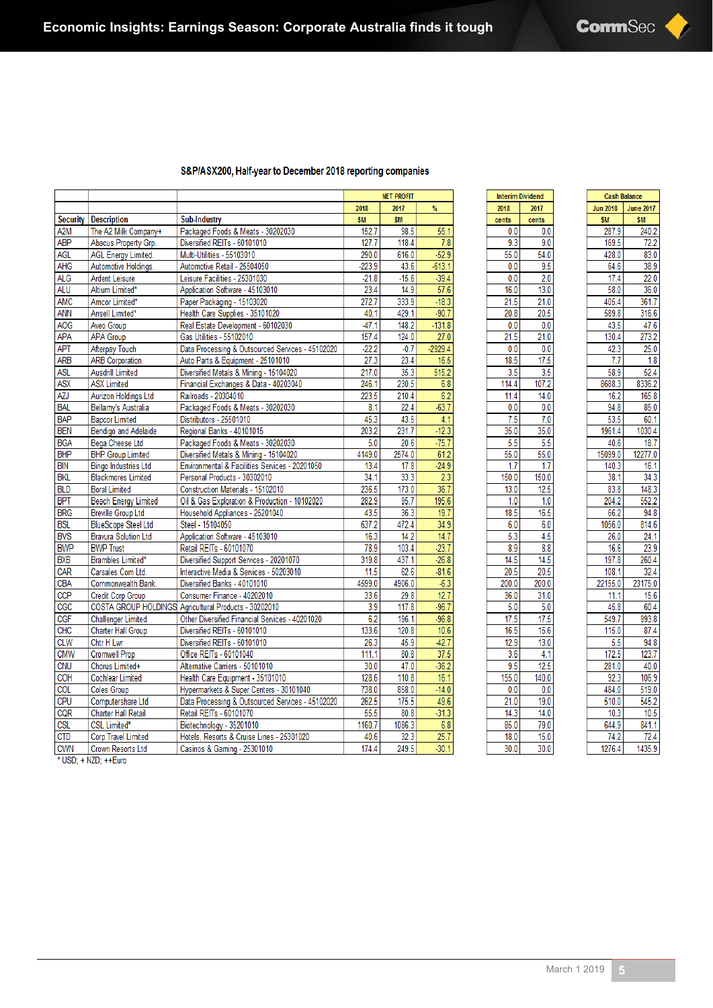#### S&P/ASX200, Half-year to December 2018 reporting companies

|                  |                             |                                                       |           | <b>NET PROFIT</b> |                  |
|------------------|-----------------------------|-------------------------------------------------------|-----------|-------------------|------------------|
|                  |                             |                                                       | 2018      | 2017              | %                |
| <b>Security</b>  | <b>Description</b>          | <b>Sub-Industry</b>                                   | <b>SM</b> | <b>SM</b>         |                  |
| A <sub>2</sub> M | The A2 Milk Company+        | Packaged Foods & Meats - 30202030                     | 152.7     | 98.5              | 55.1             |
| <b>ABP</b>       | Abacus Property Grp.        | Diversified REITs - 60101010                          | 127.7     | 118.4             | 7.8              |
| <b>AGL</b>       | <b>AGL Energy Limited.</b>  | Multi-Utilities - 55103010                            | 290.0     | 616.0             | $-52.9$          |
| AHG              | Automotive Holdings.        | Automotive Retail - 25504050                          | $-223.9$  | 43.6              | $-613.1$         |
| <b>ALG</b>       | <b>Ardent Leisure</b>       | Leisure Facilities - 25301030                         | $-21.8$   | $-15.6$           | $-39.4$          |
| <b>ALU</b>       | Altium Limited*             | Application Software - 45103010                       | 23.4      | 14.9              | 57.6             |
| <b>AMC</b>       | Amcor Limited*              | Paper Packaging - 15103020                            | 272.7     | 333.9             | $-18.3$          |
| <b>ANN</b>       | Ansell Limited*             | Health Care Supplies - 35101020                       | 40.1      | 429.1             | $-90.7$          |
| A <sub>O</sub> G | Aveo Group                  | Real Estate Development - 60102030                    | $-47.1$   | 148.2             | $-131.8$         |
| <b>APA</b>       | <b>APA Group</b>            | Gas Utilities - 55102010                              | 157.4     | 124.0             | 27.0             |
| <b>APT</b>       | <b>Afterpay Touch</b>       | Data Processing & Outsourced Services - 45102020      | $-22.2$   | $-0.7$            | $-2929.4$        |
| <b>ARB</b>       | <b>ARB Corporation.</b>     | Auto Parts & Equipment - 25101010                     | 27.3      | 23.4              | 16.5             |
| <b>ASL</b>       | <b>Ausdrill Limited</b>     | Diversified Metals & Mining - 15104020                | 217.0     | 35.3              | 515.2            |
| <b>ASX</b>       | <b>ASX Limited</b>          | Financial Exchanges & Data - 40203040                 | 246.1     | 230.5             | 6.8              |
| AZJ              | <b>Aurizon Holdings Ltd</b> | Railroads - 20304010                                  | 223.5     | 210.4             | 6.2              |
| <b>BAL</b>       | Bellamy's Australia         | Packaged Foods & Meats - 30202030                     | 8.1       | 22.4              | $-63.7$          |
| <b>BAP</b>       | <b>Bapcor Limited</b>       | Distributors - 25501010                               | 45.3      | 43.5              | 4.1              |
| <b>BEN</b>       | Bendigo and Adelaide        | Regional Banks - 40101015                             | 203.2     | 231.7             | $-12.3$          |
| <b>BGA</b>       | <b>Bega Cheese Ltd</b>      | Packaged Foods & Meats - 30202030                     | 5.0       | 20.6              | $-75.7$          |
| <b>BHP</b>       | <b>BHP Group Limited</b>    | Diversified Metals & Mining - 15104020                | 4149.0    | 2574.0            | 61.2             |
| <b>BIN</b>       | <b>Bingo Industries Ltd</b> | Environmental & Facilities Services - 20201050        | 13.4      | 17.8              | $-24.9$          |
| <b>BKL</b>       | <b>Blackmores Limited</b>   | Personal Products - 30302010                          | 34.1      | 33.3              | 2.3              |
| <b>BLD</b>       | <b>Boral Limited</b>        | Construction Materials - 15102010                     | 236.5     | 173.0             | 36.7             |
| <b>BPT</b>       | <b>Beach Energy Limited</b> | Oil & Gas Exploration & Production - 10102020         | 282.9     | 95.7              | 195.6            |
| <b>BRG</b>       | <b>Breville Group Ltd</b>   | Household Appliances - 25201040                       | 43.5      | 36.3              | 19.7             |
| <b>BSL</b>       | <b>BlueScope Steel Ltd</b>  | Steel - 15104050                                      | 637.2     | 472.4             | 34.9             |
| <b>BVS</b>       | <b>Bravura Solution Ltd</b> | Application Software - 45103010                       | 16.3      | 14.2              | 14.7             |
| <b>BWP</b>       | <b>BWP Trust</b>            | Retail REITs - 60101070                               | 78.9      | 103.4             | $-23.7$          |
| <b>BXB</b>       | <b>Brambles Limited*</b>    | Diversified Support Services - 20201070               | 319.8     | 437.1             | $-26.8$          |
| CAR              | Carsales.Com Ltd.           | Interactive Media & Services - 50203010               | 11.5      | 62.6              | $-81.6$          |
| <b>CBA</b>       | Commonwealth Bank.          | Diversified Banks - 40101010                          | 4599.0    | 4906.0            | $-6.3$           |
| CCP              | <b>Credit Corp Group</b>    | Consumer Finance - 40202010                           | 33.6      | 29.8              | 12.7             |
| CGC              |                             | COSTA GROUP HOLDINGS Agricultural Products - 30202010 | 3.9       | 117.8             | $-96.7$          |
| <b>CGF</b>       | <b>Challenger Limited</b>   | Other Diversified Financial Services - 40201020       | 6.2       | 196.1             | $-96.8$          |
| <b>CHC</b>       | <b>Charter Hall Group</b>   | Diversified REITs - 60101010                          | 133.6     | 120.8             | 10.6             |
| <b>CLW</b>       | Chtr H Lwr                  | Diversified REITs - 60101010                          | 26.3      | 45.9              | $-42.7$          |
| <b>CMW</b>       | <b>Cromwell Prop</b>        | Office REITs - 60101040                               | 111.1     | 80.8              | $\frac{37.5}{ }$ |
| <b>CNU</b>       | Chorus Limited+             | Alternative Carriers - 50101010                       | 30.0      | 47.0              | $-36.2$          |
| <b>COH</b>       | <b>Cochlear Limited</b>     | Health Care Equipment - 35101010                      | 128.6     | 110.8             | 16.1             |
| <b>COL</b>       | <b>Coles Group</b>          | Hypermarkets & Super Centers - 30101040               | 738.0     | 858.0             | $-14.0$          |
| CPU              | Computershare Ltd           | Data Processing & Outsourced Services - 45102020      | 262.5     | 175.5             | 49.6             |
| CQR              | <b>Charter Hall Retail</b>  | Retail REITs - 60101070                               | 55.5      | 80.8              | $-31.3$          |
| CSL              | <b>CSL Limited*</b>         | Biotechnology - 35201010                              | 1160.7    | 1086.3            | 6.8              |
| <b>CTD</b>       | <b>Corp Travel Limited</b>  | Hotels, Resorts & Cruise Lines - 25301020             | 40.6      | 32.3              | 25.7             |
| <b>CWN</b>       | <b>Crown Resorts Ltd</b>    | Casinos & Gaming - 25301010                           | 174.4     | 249.5             | $-30.1$          |

| Interim             | Dividend             |  |
|---------------------|----------------------|--|
| 2018                | 2017                 |  |
| cents               | cents                |  |
| 0.0                 | 0.0                  |  |
| 3<br>9.             | 9.0                  |  |
| $\overline{55.0}$   | 54.0                 |  |
| 0.0                 | 9.<br>5              |  |
| 0<br>0              | 0                    |  |
| 16.0                | 13.0                 |  |
| 21<br>5             | 21<br>0              |  |
| $\overline{20.8}$   | $\overline{20}$<br>5 |  |
| 0.<br>0             | 0<br>0               |  |
| $\frac{21.5}{5}$    | 21<br>0              |  |
| 0.<br>0             | Ö<br>0               |  |
| 18<br>5             | 5<br>17              |  |
| 3<br>5              | 3<br>5               |  |
| 14<br>4             | 107<br>2             |  |
| $\overline{11.4}$   | 14.0                 |  |
| 0.0                 | 0<br>.0              |  |
| 5<br>7              | 7<br>0               |  |
| 35.<br>0            | 35<br>0              |  |
| 5.<br>5             | 5<br>5               |  |
| $\overline{55.0}$   | 55.0                 |  |
| 1<br>7              | 1<br>7               |  |
| 50<br>1<br>0        | 50<br>1<br>0         |  |
| 13<br>.0            | 12<br>5              |  |
| Ï<br>$\overline{0}$ | Ì<br>$\overline{0}$  |  |
| 18<br>5             | 16<br>5              |  |
| 6.<br>0             | 6<br>0               |  |
| 5<br>3              | 5<br>4               |  |
| 9<br>8.             | 8.8                  |  |
| 5<br>14             | 5<br>14              |  |
| 20<br>5             | 20<br>5              |  |
| 200<br>.0           | 200<br>0             |  |
| 36<br>.0            | 31<br>0              |  |
| 5.0                 | 5<br>0               |  |
| 5<br>17             | 17<br>5              |  |
| 5<br>16             | 15<br>6              |  |
| 9<br>12             | $\overline{13}$<br>0 |  |
| 6                   | 1<br>4               |  |
| 9<br>5              | $\overline{12}$<br>5 |  |
| 155<br>0            | 140<br>O             |  |
| 0.0                 | ٥<br>.0              |  |
| 21<br>0             | 19<br>.0             |  |
| 3<br>14             | 14<br>0              |  |
| 85.0                | 79<br>0              |  |
| 18.0                | $\overline{15}$<br>O |  |
| 30<br>0             | 30<br>0              |  |

|                 | <b>Cash Balance</b> |  |  |
|-----------------|---------------------|--|--|
| <b>Jun 2018</b> | <b>June 2017</b>    |  |  |
| \$M             | \$M                 |  |  |
| 287.9           | 240.2               |  |  |
| 169.5           | 72.2                |  |  |
| 428.0           | $\overline{83.0}$   |  |  |
| 64.6            | 38.9                |  |  |
| 17.4            | $\overline{22.0}$   |  |  |
| 58.0            | 36.0                |  |  |
| 405.4           | 361.7               |  |  |
| 589.8           | 316.6               |  |  |
| 43.5            | 47.6                |  |  |
| 130.4           | $\overline{273.2}$  |  |  |
| 3<br>42         | 25.0                |  |  |
| 7.<br>7         | 1.8                 |  |  |
| 58.9            | 52.4                |  |  |
| 3<br>8688.      | 8336.2              |  |  |
| 16.2            | 165.8               |  |  |
| 94.8            | 85.0                |  |  |
| 53.5            | 60.1                |  |  |
| 1961.4          | 1030.4              |  |  |
| 40.6            | 18.7                |  |  |
| 15099.0         | 12277.0             |  |  |
| 140.3           | 16.1                |  |  |
| 38.1            | 3<br>34.            |  |  |
| 83.8            | 3<br>148.           |  |  |
| 204.2           | 552.2               |  |  |
| 66.2            | 94.8                |  |  |
| 1056.0          | 814.6               |  |  |
| 26.0            | 24.1                |  |  |
| 16.6            | 23.9                |  |  |
| 197<br>8        | 260.4               |  |  |
| 108.<br>1       | 32.4                |  |  |
| 22155.0         | 23175.0             |  |  |
| 11.1            | 15.6                |  |  |
| 45.8            | 60.4                |  |  |
| 549.7           | 993.8               |  |  |
| 115.0           | 87.4                |  |  |
| 5<br>5          | 94.8                |  |  |
| 172.5           | 123.7               |  |  |
| 281.0           | 40.0                |  |  |
| 3<br>92         | 106.9               |  |  |
| 484.0           | 519.0               |  |  |
| 510.0           | 545.2               |  |  |
| 10.3            | 10.5                |  |  |
| 644<br>9        | 841<br>1            |  |  |
| 74<br>2         | 72.<br>4            |  |  |
| 1276.4          | 9<br>1435           |  |  |

USD; + NZD; ++Euro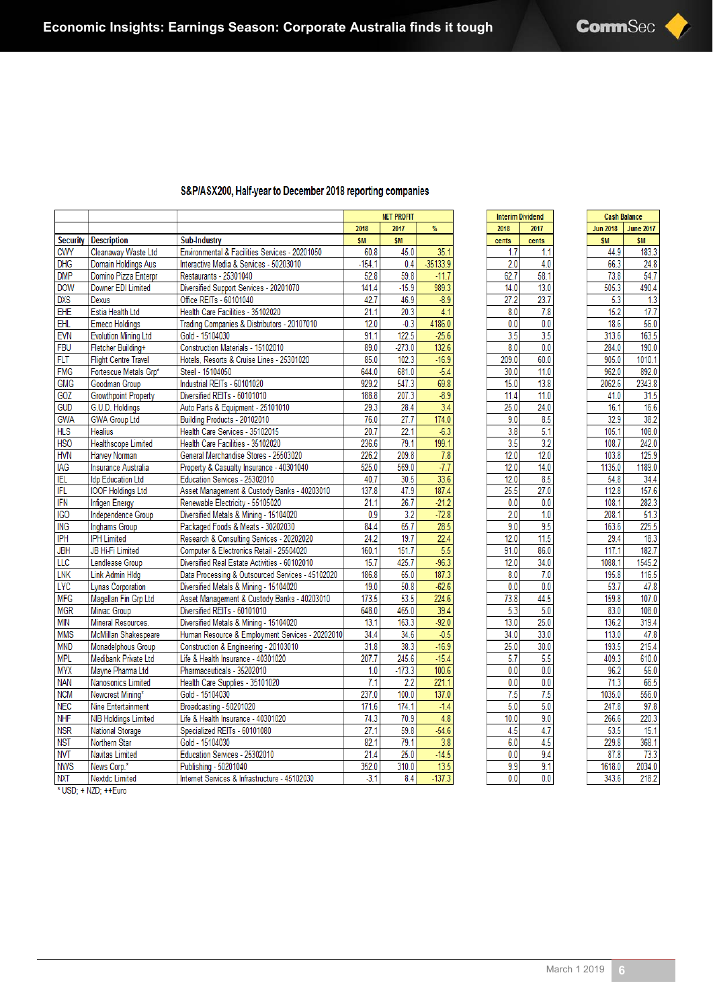**Cash Balance** 

343.6

183.3

 $24.8$ 

 $54.7$ 

490.4

 $\overline{1.3}$ 

 $17.7$ 

56.0

 $163.5$ 

 $190.0$ 

 $1010.1$ 

892.0 2343.8

 $31.5$ 

 $16.6$ 

38.2

 $108.0$ 

242.0

125.9

1189.0

34.4

157.6

282.3

 $51.3$ 

225.5

 $18.3$ 

 $182.7$ 

1545.2

116.5

47.8

 $107.0$ 

108.0

319.4

47.8

215.4

610.0

56.0

66.5

556.0  $97.8$ 

 $\frac{220.3}{15.1}$ 

 $73.3$ 

2034.0

218.2

|            |                             |                                                  |           | <b>NET PROFIT</b> |            |
|------------|-----------------------------|--------------------------------------------------|-----------|-------------------|------------|
|            |                             |                                                  | 2018      | 2017              | %          |
| Security   | <b>Description</b>          | Sub-Industry                                     | <b>SM</b> | <b>SM</b>         |            |
| <b>CWY</b> | Cleanaway Waste Ltd         | Environmental & Facilities Services - 20201050   | 60.8      | 45.0              | 35.1       |
| <b>DHG</b> | Domain Holdings Aus         | Interactive Media & Services - 50203010          | $-154.1$  | 0.4               | $-35133.9$ |
| <b>DMP</b> | Domino Pizza Enterpr        | Restaurants - 25301040                           | 52.8      | 59.8              | $-11.7$    |
| <b>DOW</b> | Downer EDI Limited          | Diversified Support Services - 20201070          | 141.4     | $-15.9$           | 989.3      |
| <b>DXS</b> | Dexus                       | Office REITs - 60101040                          | 42.7      | 46.9              | $-8.9$     |
| EHE        | Estia Health Ltd            | Health Care Facilities - 35102020                | 21.1      | 20.3              | 4.1        |
| EHL        | <b>Emeco Holdings</b>       | Trading Companies & Distributors - 20107010      | 12.0      | $-0.3$            | 4186.0     |
| <b>EVN</b> | <b>Evolution Mining Ltd</b> | Gold - 15104030                                  | 91.1      | 122.5             | $-25.6$    |
| <b>FBU</b> | Fletcher Building+          | Construction Materials - 15102010                | 89.0      | $-273.0$          | 132.6      |
| <b>FLT</b> | <b>Flight Centre Travel</b> | Hotels, Resorts & Cruise Lines - 25301020        | 85.0      | 102.3             | $-16.9$    |
| <b>FMG</b> | Fortescue Metals Grp*       | Steel - 15104050                                 | 644.0     | 681.0             | $-5.4$     |
| <b>GMG</b> | Goodman Group               | Industrial REITs - 60101020                      | 929.2     | 547.3             | 69.8       |
| GOZ        | <b>Growthpoint Property</b> | Diversified REITs - 60101010                     | 188.8     | 207.3             | $-8.9$     |
| <b>GUD</b> | G.U.D. Holdings             | Auto Parts & Equipment - 25101010                | 29.3      | 28.4              | 3.4        |
| <b>GWA</b> | <b>GWA Group Ltd</b>        | Building Products - 20102010                     | 76.0      | 27.7              | 174.0      |
| <b>HLS</b> | <b>Healius</b>              | Health Care Services - 35102015                  | 20.7      | 22.1              | $-6.3$     |
| <b>HSO</b> | <b>Healthscope Limited</b>  | Health Care Facilities - 35102020                | 236.6     | 79.1              | 199.1      |
| <b>HVN</b> | <b>Harvey Norman</b>        | General Merchandise Stores - 25503020            | 226.2     | 209.8             | 7.8        |
| <b>IAG</b> | Insurance Australia         | Property & Casualty Insurance - 40301040         | 525.0     | 569.0             | $-7.7$     |
| <b>IEL</b> | <b>Idp Education Ltd</b>    | Education Services - 25302010                    | 40.7      | 30.5              | 33.6       |
| IFL        | <b>IOOF Holdings Ltd</b>    | Asset Management & Custody Banks - 40203010      | 137.8     | 47.9              | 187.4      |
| IFN        | <b>Infigen Energy</b>       | Renewable Electricity - 55105020                 | 21.1      | 26.7              | $-21.2$    |
| <b>IGO</b> | <b>Independence Group</b>   | Diversified Metals & Mining - 15104020           | 0.9       | 3.2               | $-72.8$    |
| <b>ING</b> | <b>Inghams Group</b>        | Packaged Foods & Meats - 30202030                | 84.4      | 65.7              | 28.5       |
| <b>IPH</b> | <b>IPH Limited</b>          | Research & Consulting Services - 20202020        | 24.2      | 19.7              | 22.4       |
| <b>JBH</b> | JB Hi-Fi Limited            | Computer & Electronics Retail - 25504020         | 160.1     | 151.7             | 5.5        |
| LLC        | Lendlease Group             | Diversified Real Estate Activities - 60102010    | 15.7      | 425.7             | $-96.3$    |
| <b>LNK</b> | Link Admin HIdg             | Data Processing & Outsourced Services - 45102020 | 186.8     | 65.0              | 187.3      |
| <b>LYC</b> | Lynas Corporation           | Diversified Metals & Mining - 15104020           | 19.0      | 50.8              | $-62.6$    |
| <b>MFG</b> | Magellan Fin Grp Ltd        | Asset Management & Custody Banks - 40203010      | 173.5     | 53.5              | 224.6      |
| <b>MGR</b> | Mirvac Group                | Diversified REITs - 60101010                     | 648.0     | 465.0             | 39.4       |
| <b>MIN</b> | Mineral Resources.          | Diversified Metals & Mining - 15104020           | 13.1      | 163.3             | $-92.0$    |
| <b>MMS</b> | McMillan Shakespeare        | Human Resource & Employment Services - 20202010  | 34.4      | 34.6              | $-0.5$     |
| <b>MND</b> | Monadelphous Group          | Construction & Engineering - 20103010            | 31.8      | 38.3              | $-16.9$    |
| <b>MPL</b> | Medibank Private Ltd        | Life & Health Insurance - 40301020               | 207.7     | 245.6             | $-15.4$    |
| <b>MYX</b> | Mayne Pharma Ltd            | Pharmaceuticals - 35202010                       | 1.0       | $-173.3$          | 100.6      |
| <b>NAN</b> | Nanosonics Limited          | Health Care Supplies - 35101020                  | 7.1       | 2.2               | 221.1      |
| <b>NCM</b> | Newcrest Mining*            | Gold - 15104030                                  | 237.0     | 100.0             | 137.0      |
| <b>NEC</b> | Nine Entertainment          | Broadcasting - 50201020                          | 171.6     | 174.1             | $-1.4$     |
| <b>NHF</b> | <b>NIB Holdings Limited</b> | Life & Health Insurance - 40301020               | 74.3      | 70.9              | 4.8        |
| <b>NSR</b> | <b>National Storage</b>     | Specialized REITs - 60101080                     | 27.1      | 59.8              | $-54.6$    |
| <b>NST</b> | Northern Star               | Gold - 15104030                                  | 82.1      | 79.1              | 3.8        |
| <b>NVT</b> | Navitas Limited             | Education Services - 25302010                    | 21.4      | 25.0              | $-14.5$    |
| <b>NWS</b> | News Corp.*                 | Publishing - 50201040                            | 352.0     | 310.0             | 13.5       |
| <b>NXT</b> | <b>Nextdc Limited</b>       | Internet Services & Infrastructure - 45102030    | $-3.1$    | 8.4               | $-137.3$   |
|            | * USD: + NZD: ++Euro        |                                                  |           |                   |            |

#### S&P/ASX200, Half-year to December 2018 reporting companies

| 2017<br><b>Jun 2018</b><br>\$M<br>cents<br>1.7<br>1.1<br>44.9<br>66.3<br>2.0<br>4.0<br>62.7<br>58.1<br>73.8<br>14.0<br>13.0<br>505.3<br>$\frac{1}{27.2}$<br>23.7<br>5.3<br>15.2<br>8.0<br>7.8<br>0.0<br>0.0<br>18.6<br>3.5<br>3.5<br>313.6<br>8.0<br>284.0<br>0.0<br>209.0<br>60.0<br>905.0<br>30.0<br>11.0<br>962.0<br>13.8<br>2062.6<br>15.0<br>41.0<br>11.4<br>11.0<br>25.0<br>24.0<br>16.1<br>9.0<br>8.5<br>32.9<br>5.1<br>105.1<br>3.8<br>3.5<br>3.2<br>108.7<br>12.0<br>12.0<br>103.8<br>12.0<br>14.0<br>1135.0<br>12.0<br>8.5<br>54.8<br>25.5<br>27.0<br>112.8<br>108.1<br>0.0<br>0.0<br>2.0<br>1.0<br>208.1<br>163.6<br>9.0<br>9.5<br>12.0<br>11.5<br>29.4<br>91.0<br>86.0<br>117.1<br>12.0<br>34.0<br>1088.1<br>8.0<br>7.0<br>195.8<br>0.0<br>0.0<br>53.7<br>73.8<br>159.8<br>44.5<br>5.3<br>5.0<br>83.0<br>25.0<br>13.0<br>136.2<br>34.0<br>33.0<br>113.0<br>25.0<br>30.0<br>193.5<br>5.7<br>5.5<br>409.3<br>0.0<br>0.0<br>96.2<br>71.3<br>0.0<br>0.0<br>7.5<br>7.5<br>1035.0<br>5.0<br>247.8<br>5.0<br>10.0<br>9.0<br>266.6<br>53.5<br>4.5<br>4.7<br>229.8<br>6.0<br>4.5<br>9.4<br>0.0<br>87.8<br>9.9<br>9.1<br>1618.0<br>343.6 |      | <b>Interim Dividend</b> |
|--------------------------------------------------------------------------------------------------------------------------------------------------------------------------------------------------------------------------------------------------------------------------------------------------------------------------------------------------------------------------------------------------------------------------------------------------------------------------------------------------------------------------------------------------------------------------------------------------------------------------------------------------------------------------------------------------------------------------------------------------------------------------------------------------------------------------------------------------------------------------------------------------------------------------------------------------------------------------------------------------------------------------------------------------------------------------------------------------------------------------------------------|------|-------------------------|
| cents                                                                                                                                                                                                                                                                                                                                                                                                                                                                                                                                                                                                                                                                                                                                                                                                                                                                                                                                                                                                                                                                                                                                      | 2018 |                         |
|                                                                                                                                                                                                                                                                                                                                                                                                                                                                                                                                                                                                                                                                                                                                                                                                                                                                                                                                                                                                                                                                                                                                            |      |                         |
|                                                                                                                                                                                                                                                                                                                                                                                                                                                                                                                                                                                                                                                                                                                                                                                                                                                                                                                                                                                                                                                                                                                                            |      |                         |
|                                                                                                                                                                                                                                                                                                                                                                                                                                                                                                                                                                                                                                                                                                                                                                                                                                                                                                                                                                                                                                                                                                                                            |      |                         |
|                                                                                                                                                                                                                                                                                                                                                                                                                                                                                                                                                                                                                                                                                                                                                                                                                                                                                                                                                                                                                                                                                                                                            |      |                         |
|                                                                                                                                                                                                                                                                                                                                                                                                                                                                                                                                                                                                                                                                                                                                                                                                                                                                                                                                                                                                                                                                                                                                            |      |                         |
|                                                                                                                                                                                                                                                                                                                                                                                                                                                                                                                                                                                                                                                                                                                                                                                                                                                                                                                                                                                                                                                                                                                                            |      |                         |
|                                                                                                                                                                                                                                                                                                                                                                                                                                                                                                                                                                                                                                                                                                                                                                                                                                                                                                                                                                                                                                                                                                                                            |      |                         |
|                                                                                                                                                                                                                                                                                                                                                                                                                                                                                                                                                                                                                                                                                                                                                                                                                                                                                                                                                                                                                                                                                                                                            |      |                         |
|                                                                                                                                                                                                                                                                                                                                                                                                                                                                                                                                                                                                                                                                                                                                                                                                                                                                                                                                                                                                                                                                                                                                            |      |                         |
|                                                                                                                                                                                                                                                                                                                                                                                                                                                                                                                                                                                                                                                                                                                                                                                                                                                                                                                                                                                                                                                                                                                                            |      |                         |
|                                                                                                                                                                                                                                                                                                                                                                                                                                                                                                                                                                                                                                                                                                                                                                                                                                                                                                                                                                                                                                                                                                                                            |      |                         |
|                                                                                                                                                                                                                                                                                                                                                                                                                                                                                                                                                                                                                                                                                                                                                                                                                                                                                                                                                                                                                                                                                                                                            |      |                         |
|                                                                                                                                                                                                                                                                                                                                                                                                                                                                                                                                                                                                                                                                                                                                                                                                                                                                                                                                                                                                                                                                                                                                            |      |                         |
|                                                                                                                                                                                                                                                                                                                                                                                                                                                                                                                                                                                                                                                                                                                                                                                                                                                                                                                                                                                                                                                                                                                                            |      |                         |
|                                                                                                                                                                                                                                                                                                                                                                                                                                                                                                                                                                                                                                                                                                                                                                                                                                                                                                                                                                                                                                                                                                                                            |      |                         |
|                                                                                                                                                                                                                                                                                                                                                                                                                                                                                                                                                                                                                                                                                                                                                                                                                                                                                                                                                                                                                                                                                                                                            |      |                         |
|                                                                                                                                                                                                                                                                                                                                                                                                                                                                                                                                                                                                                                                                                                                                                                                                                                                                                                                                                                                                                                                                                                                                            |      |                         |
|                                                                                                                                                                                                                                                                                                                                                                                                                                                                                                                                                                                                                                                                                                                                                                                                                                                                                                                                                                                                                                                                                                                                            |      |                         |
|                                                                                                                                                                                                                                                                                                                                                                                                                                                                                                                                                                                                                                                                                                                                                                                                                                                                                                                                                                                                                                                                                                                                            |      |                         |
|                                                                                                                                                                                                                                                                                                                                                                                                                                                                                                                                                                                                                                                                                                                                                                                                                                                                                                                                                                                                                                                                                                                                            |      |                         |
|                                                                                                                                                                                                                                                                                                                                                                                                                                                                                                                                                                                                                                                                                                                                                                                                                                                                                                                                                                                                                                                                                                                                            |      |                         |
|                                                                                                                                                                                                                                                                                                                                                                                                                                                                                                                                                                                                                                                                                                                                                                                                                                                                                                                                                                                                                                                                                                                                            |      |                         |
|                                                                                                                                                                                                                                                                                                                                                                                                                                                                                                                                                                                                                                                                                                                                                                                                                                                                                                                                                                                                                                                                                                                                            |      |                         |
|                                                                                                                                                                                                                                                                                                                                                                                                                                                                                                                                                                                                                                                                                                                                                                                                                                                                                                                                                                                                                                                                                                                                            |      |                         |
|                                                                                                                                                                                                                                                                                                                                                                                                                                                                                                                                                                                                                                                                                                                                                                                                                                                                                                                                                                                                                                                                                                                                            |      |                         |
|                                                                                                                                                                                                                                                                                                                                                                                                                                                                                                                                                                                                                                                                                                                                                                                                                                                                                                                                                                                                                                                                                                                                            |      |                         |
|                                                                                                                                                                                                                                                                                                                                                                                                                                                                                                                                                                                                                                                                                                                                                                                                                                                                                                                                                                                                                                                                                                                                            |      |                         |
|                                                                                                                                                                                                                                                                                                                                                                                                                                                                                                                                                                                                                                                                                                                                                                                                                                                                                                                                                                                                                                                                                                                                            |      |                         |
|                                                                                                                                                                                                                                                                                                                                                                                                                                                                                                                                                                                                                                                                                                                                                                                                                                                                                                                                                                                                                                                                                                                                            |      |                         |
|                                                                                                                                                                                                                                                                                                                                                                                                                                                                                                                                                                                                                                                                                                                                                                                                                                                                                                                                                                                                                                                                                                                                            |      |                         |
|                                                                                                                                                                                                                                                                                                                                                                                                                                                                                                                                                                                                                                                                                                                                                                                                                                                                                                                                                                                                                                                                                                                                            |      |                         |
|                                                                                                                                                                                                                                                                                                                                                                                                                                                                                                                                                                                                                                                                                                                                                                                                                                                                                                                                                                                                                                                                                                                                            |      |                         |
|                                                                                                                                                                                                                                                                                                                                                                                                                                                                                                                                                                                                                                                                                                                                                                                                                                                                                                                                                                                                                                                                                                                                            |      |                         |
|                                                                                                                                                                                                                                                                                                                                                                                                                                                                                                                                                                                                                                                                                                                                                                                                                                                                                                                                                                                                                                                                                                                                            |      |                         |
|                                                                                                                                                                                                                                                                                                                                                                                                                                                                                                                                                                                                                                                                                                                                                                                                                                                                                                                                                                                                                                                                                                                                            |      |                         |
|                                                                                                                                                                                                                                                                                                                                                                                                                                                                                                                                                                                                                                                                                                                                                                                                                                                                                                                                                                                                                                                                                                                                            |      |                         |
|                                                                                                                                                                                                                                                                                                                                                                                                                                                                                                                                                                                                                                                                                                                                                                                                                                                                                                                                                                                                                                                                                                                                            |      |                         |
|                                                                                                                                                                                                                                                                                                                                                                                                                                                                                                                                                                                                                                                                                                                                                                                                                                                                                                                                                                                                                                                                                                                                            |      |                         |
|                                                                                                                                                                                                                                                                                                                                                                                                                                                                                                                                                                                                                                                                                                                                                                                                                                                                                                                                                                                                                                                                                                                                            |      |                         |
|                                                                                                                                                                                                                                                                                                                                                                                                                                                                                                                                                                                                                                                                                                                                                                                                                                                                                                                                                                                                                                                                                                                                            |      |                         |
|                                                                                                                                                                                                                                                                                                                                                                                                                                                                                                                                                                                                                                                                                                                                                                                                                                                                                                                                                                                                                                                                                                                                            |      |                         |
|                                                                                                                                                                                                                                                                                                                                                                                                                                                                                                                                                                                                                                                                                                                                                                                                                                                                                                                                                                                                                                                                                                                                            |      |                         |
|                                                                                                                                                                                                                                                                                                                                                                                                                                                                                                                                                                                                                                                                                                                                                                                                                                                                                                                                                                                                                                                                                                                                            |      |                         |
|                                                                                                                                                                                                                                                                                                                                                                                                                                                                                                                                                                                                                                                                                                                                                                                                                                                                                                                                                                                                                                                                                                                                            |      |                         |
|                                                                                                                                                                                                                                                                                                                                                                                                                                                                                                                                                                                                                                                                                                                                                                                                                                                                                                                                                                                                                                                                                                                                            |      |                         |
|                                                                                                                                                                                                                                                                                                                                                                                                                                                                                                                                                                                                                                                                                                                                                                                                                                                                                                                                                                                                                                                                                                                                            | 0.01 | 0.0                     |

cents

 $0.0$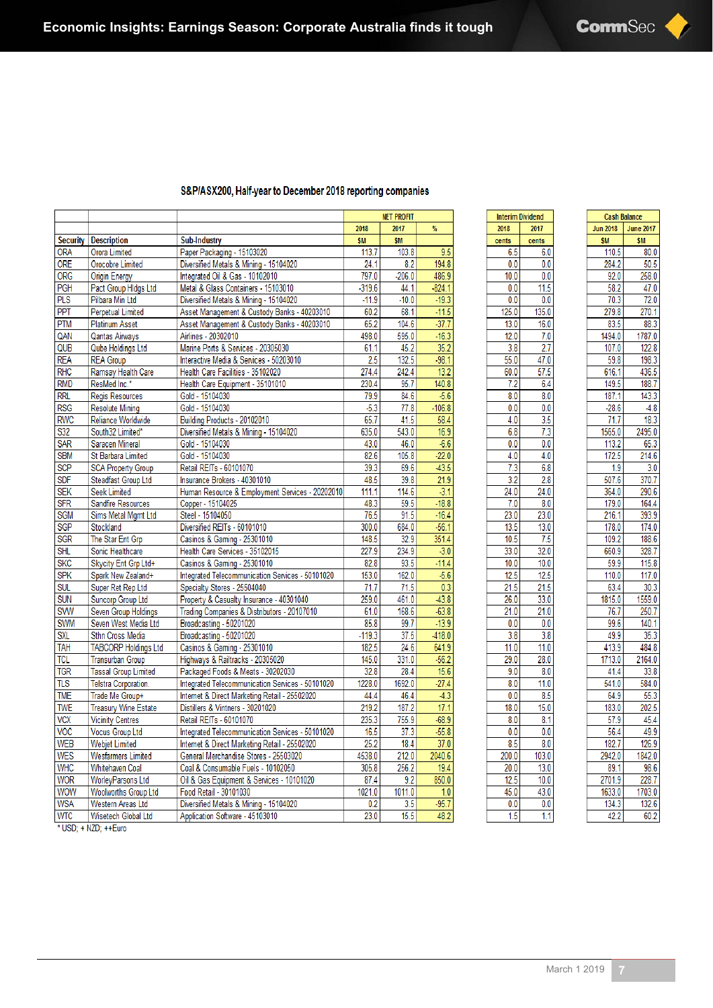|                         |                             |                                                  | <b>NET PROFIT</b> |           |                   |
|-------------------------|-----------------------------|--------------------------------------------------|-------------------|-----------|-------------------|
|                         |                             |                                                  | 2018              | 2017      | $\frac{9}{6}$     |
| Security                | <b>Description</b>          | <b>Sub-Industry</b>                              | <b>SM</b>         | <b>SM</b> |                   |
| <b>ORA</b>              | Orora Limited               | Paper Packaging - 15103020                       | 113.7             | 103.8     | 9.5               |
| <b>ORE</b>              | Orocobre Limited            | Diversified Metals & Mining - 15104020           | 24.1              | 8.2       | 194.8             |
| ORG                     | Origin Energy               | Integrated Oil & Gas - 10102010                  | 797.0             | $-206.0$  | 486.9             |
| <b>PGH</b>              | Pact Group Hidgs Ltd        | Metal & Glass Containers - 15103010              | $-319.6$          | 44.1      | $-824.1$          |
| <b>PLS</b>              | Pilbara Min Ltd             | Diversified Metals & Mining - 15104020           | $-11.9$           | $-10.0$   | $-19.3$           |
| <b>PPT</b>              | <b>Perpetual Limited</b>    | Asset Management & Custody Banks - 40203010      | 60.2              | 68.1      | $-11.5$           |
| <b>PTM</b>              | <b>Platinum Asset</b>       | Asset Management & Custody Banks - 40203010      | 65.2              | 104.6     | $-37.7$           |
| QAN                     | Qantas Airways              | Airlines - 20302010                              | 498.0             | 595.0     | $-16.3$           |
| QUB                     | Qube Holdings Ltd           | Marine Ports & Services - 20305030               | 61.1              | 45.2      | 35.2              |
| <b>REA</b>              | <b>REA Group</b>            | Interactive Media & Services - 50203010          | 2.5               | 132.5     | $-98.1$           |
| RHC                     | Ramsay Health Care          | Health Care Facilities - 35102020                | 274.4             | 242.4     | $\overline{13.2}$ |
| <b>RMD</b>              | ResMed Inc.*                | Health Care Equipment - 35101010                 | 230.4             | 95.7      | 140.8             |
| <b>RRL</b>              | <b>Regis Resources</b>      | Gold - 15104030                                  | 79.9              | 84.6      | $-5.6$            |
| <b>RSG</b>              | <b>Resolute Mining</b>      | Gold - 15104030                                  | $-5.3$            | 77.8      | $-106.8$          |
| <b>RWC</b>              | Reliance Worldwide          | Building Products - 20102010                     | 65.7              | 41.5      | 58.4              |
| S32                     | South32 Limited*            | Diversified Metals & Mining - 15104020           | 635.0             | 543.0     | 16.9              |
| <b>SAR</b>              | Saracen Mineral             | Gold - 15104030                                  | 43.0              | 46.0      | $-6.6$            |
| <b>SBM</b>              | St Barbara Limited          | Gold - 15104030                                  | 82.6              | 105.8     | $-22.0$           |
| <b>SCP</b>              | <b>SCA Property Group</b>   | Retail REITs - 60101070                          | 39.3              | 69.6      | $-43.5$           |
| <b>SDF</b>              | <b>Steadfast Group Ltd</b>  | Insurance Brokers - 40301010                     | 48.5              | 39.8      | 21.9              |
| <b>SEK</b>              | <b>Seek Limited</b>         | Human Resource & Employment Services - 20202010  | 111.1             | 114.6     | $-3.1$            |
| <b>SFR</b>              | Sandfire Resources          | Copper - 15104025                                | 48.3              | 59.5      | $-18.8$           |
| <b>SGM</b>              | Sims Metal Mgmt Ltd         | Steel - 15104050                                 | 76.5              | 91.5      | $-16.4$           |
| SGP                     | Stockland                   | Diversified REITs - 60101010                     | 300.0             | 684.0     | $-56.1$           |
| <b>SGR</b>              | The Star Ent Grp            | Casinos & Gaming - 25301010                      | 148.5             | 32.9      | 351.4             |
| <b>SHL</b>              | Sonic Healthcare            | Health Care Services - 35102015                  | 227.9             | 234.9     | $-3.0$            |
| <b>SKC</b>              | Skycity Ent Grp Ltd+        | Casinos & Gaming - 25301010                      | 82.8              | 93.5      | $-11.4$           |
| <b>SPK</b>              | Spark New Zealand+          | Integrated Telecommunication Services - 50101020 | 153.0             | 162.0     | $-5.6$            |
| <b>SUL</b>              | Super Ret Rep Ltd           | Specialty Stores - 25504040                      | 71.7              | 71.5      | 0.3               |
| <b>SUN</b>              | Suncorp Group Ltd           | Property & Casualty Insurance - 40301040         | 259.0             | 461.0     | $-43.8$           |
| <b>SVW</b>              | Seven Group Holdings        | Trading Companies & Distributors - 20107010      | 61.0              | 168.6     | $-63.8$           |
| <b>SWM</b>              | Seven West Media Ltd        | Broadcasting - 50201020                          | 85.8              | 99.7      | $-13.9$           |
| SXL                     | Sthn Cross Media            | Broadcasting - 50201020                          | $-119.3$          | 37.5      | $-418.0$          |
| <b>TAH</b>              | <b>TABCORP Holdings Ltd</b> | Casinos & Gaming - 25301010                      | 182.5             | 24.6      | 641.9             |
| <b>TCL</b>              | <b>Transurban Group</b>     | Highways & Railtracks - 20305020                 | 145.0             | 331.0     | $-56.2$           |
| <b>TGR</b>              | <b>Tassal Group Limited</b> | Packaged Foods & Meats - 30202030                | 32.8              | 28.4      | 15.6              |
| $\overline{\text{ILS}}$ | Telstra Corporation.        | Integrated Telecommunication Services - 50101020 | 1228.0            | 1692.0    | $-27.4$           |
| <b>TME</b>              | Trade Me Group+             | Internet & Direct Marketing Retail - 25502020    | 44.4              | 46.4      | $-4.3$            |
| <b>TWE</b>              | <b>Treasury Wine Estate</b> | Distillers & Vintners - 30201020                 | 219.2             | 187.2     | 17.1              |
| <b>VCX</b>              | <b>Vicinity Centres</b>     | Retail REITs - 60101070                          | 235.3             | 755.9     | $-68.9$           |
| <b>VOC</b>              | <b>Vocus Group Ltd</b>      | Integrated Telecommunication Services - 50101020 | 16.5              | 37.3      | $-55.8$           |
| <b>WEB</b>              | <b>Webjet Limited</b>       | Internet & Direct Marketing Retail - 25502020    | 25.2              | 18.4      | 37.0              |
| <b>WES</b>              | <b>Wesfarmers Limited</b>   | General Merchandise Stores - 25503020            | 4538.0            | 212.0     | 2040.6            |
| <b>WHC</b>              | Whitehaven Coal             | Coal & Consumable Fuels - 10102050               | 305.8             | 256.2     | 19.4              |
| <b>WOR</b>              | WorleyParsons Ltd           | Oil & Gas Equipment & Services - 10101020        | 87.4              | 9.2       | 850.0             |
| <b>WOW</b>              | <b>Woolworths Group Ltd</b> | Food Retail - 30101030                           | 1021.0            | 1011.0    | 1.0               |
| <b>WSA</b>              | Western Areas Ltd           | Diversified Metals & Mining - 15104020           | 0.2               | 3.5       | $-95.7$           |
| <b>WTC</b>              | Wisetech Global Ltd         | Application Software - 45103010                  | 23.0              | 15.5      | 48.2              |
|                         | * USD; + NZD; ++Euro        |                                                  |                   |           |                   |

### S&P/ASX200, Half-year to December 2018 reporting companies

| Interim<br><b>Dividend</b> |                           |  |
|----------------------------|---------------------------|--|
| 2018                       | 2017                      |  |
| cents                      | cents                     |  |
| 6.5                        | 6.0                       |  |
| 0.0                        | 0.0                       |  |
| 10.0                       | 0.<br>0                   |  |
| 0.0                        | 5<br>1<br>1               |  |
| 0                          | 0                         |  |
| 0                          | 0                         |  |
| 25 <sup>2</sup>            | 35                        |  |
| 0                          | 1                         |  |
| 1                          | 0                         |  |
| 0                          | 6                         |  |
| 3                          | 0                         |  |
| 1                          | 1                         |  |
| $\overline{2}$<br>1<br>0   | 7<br>0                    |  |
| 8                          | 7                         |  |
| 55                         | 47                        |  |
| 0                          | 0                         |  |
| 60                         | 57                        |  |
| 0                          | 5                         |  |
| 2                          | 6                         |  |
| 7                          | A.                        |  |
| 8.0                        | 8.<br>0                   |  |
| 0                          | 0                         |  |
| 0.                         | ٥                         |  |
| 4.0                        | 3,<br>5                   |  |
| 6                          | $\overline{\overline{3}}$ |  |
| 8                          | 7                         |  |
| 0                          | 0                         |  |
| 0                          | 0                         |  |
| 4                          | 4                         |  |
| 0                          | 0                         |  |
| 3                          | 6.                        |  |
| 7                          | 8                         |  |
| 3                          | 8                         |  |
| 2<br>Δ<br>0                | $\overline{24}$<br>0      |  |
| 0                          | 8                         |  |
| 7                          | 0                         |  |
| 2<br>3<br>0                | 23<br>0                   |  |
| 5<br>1<br>3                | 13<br>0                   |  |
| 5                          | $\overline{5}$            |  |
| 10                         | 7                         |  |
| 3<br>0<br>3                | 32<br>0                   |  |
| 10                         | 10                        |  |
| 0                          | ٥                         |  |
| 5                          | 5                         |  |
| 1                          | 1                         |  |
| 5                          | 5                         |  |
| 1                          | i                         |  |
| 26                         | 33                        |  |
| 0                          | 0                         |  |
| 1                          | 0                         |  |
| 0                          | 1                         |  |
| 0                          | Ó                         |  |
| 0                          | 0                         |  |
| 3                          | 8                         |  |
| 8                          | ٩                         |  |
| 1                          | 1                         |  |
| 1                          | 1                         |  |
| Ō                          | 0                         |  |
| 29                         | 28                        |  |
| 0                          | 0                         |  |
| 9                          | 8                         |  |
| 0                          | 0                         |  |
| 8                          | 11                        |  |
| 0                          | 0                         |  |
| 0                          | 5                         |  |
| 0                          | 8                         |  |
| 18.0                       | 15.0                      |  |
| 8.                         | 1                         |  |
| 0                          | 8                         |  |
| 0.                         | 0.                        |  |
| 0                          | 0                         |  |
| 5                          | 0                         |  |
| 8                          | 8                         |  |
| 200                        | 103                       |  |
| 0                          | 0                         |  |
| 20                         | 13                        |  |
| 0                          | 0                         |  |
| 12                         | 10                        |  |
| 5                          | 0                         |  |
| 45                         | 43                        |  |
| 0                          | 0                         |  |
| 0                          | 0                         |  |
| 0                          | 0                         |  |
| 5                          | 1                         |  |
| 1                          | 1                         |  |
|                            |                           |  |

| <b>Jun 2018</b><br><b>June 2017</b><br>\$M<br>\$M<br>110.5<br>80.0<br>$\overline{2}$<br>50.5<br>284.<br>258.0<br>92.0<br>$\overline{2}$<br>58.<br>47<br>.0<br>72.0<br>3<br>70.<br>279.8<br>270.<br>1<br>83.<br>5<br>3<br>88.<br>1494.0<br>1787.0<br>107.0<br>122.8<br>59.8<br>198.<br>3<br>436.<br>616.1<br>5<br>149<br>5<br>188.<br>l<br>3<br>187.<br>1<br>143.<br>28.6<br>-4.<br>8<br>71<br>18.3<br>$\cdot$ <sup>7</sup><br>2495.<br>1565.<br>0<br>0<br>113.<br>2<br>65.3<br>172<br>5<br>214.6<br>3.0<br>9<br>1.<br>370.<br>507.6<br>7<br>290.6<br>364.<br>0<br>179.0<br>164.4<br>9<br>216<br>393.<br>1<br>178.<br>0<br>174.0<br>109.<br>2<br>188.6<br>328.<br>660.9<br>7<br>59.9<br>115.8<br>110.0<br>117.0<br>30.<br>63.4<br>3<br>1815.0<br>1559.0<br>76.7<br>250.<br>7<br>99.6<br>140.<br>1<br>49.9<br>35.3<br>413.<br>484.8<br>9<br>1713.0<br>2164.0<br>41.4<br>33.8<br>541.0<br>584.0<br>64.9<br>55.3<br>183.0<br>202.<br>5<br>9<br>45.4<br>57<br>56.4<br>49.9<br>126.9<br>182<br>7<br>2942.<br>1842.0<br>0<br>89.<br>98.6<br>1<br>2701<br>228.<br>9<br>7<br>1703.0<br>1633<br>0<br>3<br>132.6<br>134 |                               | Cash Balance |
|--------------------------------------------------------------------------------------------------------------------------------------------------------------------------------------------------------------------------------------------------------------------------------------------------------------------------------------------------------------------------------------------------------------------------------------------------------------------------------------------------------------------------------------------------------------------------------------------------------------------------------------------------------------------------------------------------------------------------------------------------------------------------------------------------------------------------------------------------------------------------------------------------------------------------------------------------------------------------------------------------------------------------------------------------------------------------------------------------------------|-------------------------------|--------------|
|                                                                                                                                                                                                                                                                                                                                                                                                                                                                                                                                                                                                                                                                                                                                                                                                                                                                                                                                                                                                                                                                                                              |                               |              |
|                                                                                                                                                                                                                                                                                                                                                                                                                                                                                                                                                                                                                                                                                                                                                                                                                                                                                                                                                                                                                                                                                                              |                               |              |
|                                                                                                                                                                                                                                                                                                                                                                                                                                                                                                                                                                                                                                                                                                                                                                                                                                                                                                                                                                                                                                                                                                              |                               |              |
|                                                                                                                                                                                                                                                                                                                                                                                                                                                                                                                                                                                                                                                                                                                                                                                                                                                                                                                                                                                                                                                                                                              |                               |              |
|                                                                                                                                                                                                                                                                                                                                                                                                                                                                                                                                                                                                                                                                                                                                                                                                                                                                                                                                                                                                                                                                                                              |                               |              |
|                                                                                                                                                                                                                                                                                                                                                                                                                                                                                                                                                                                                                                                                                                                                                                                                                                                                                                                                                                                                                                                                                                              |                               |              |
|                                                                                                                                                                                                                                                                                                                                                                                                                                                                                                                                                                                                                                                                                                                                                                                                                                                                                                                                                                                                                                                                                                              |                               |              |
|                                                                                                                                                                                                                                                                                                                                                                                                                                                                                                                                                                                                                                                                                                                                                                                                                                                                                                                                                                                                                                                                                                              |                               |              |
|                                                                                                                                                                                                                                                                                                                                                                                                                                                                                                                                                                                                                                                                                                                                                                                                                                                                                                                                                                                                                                                                                                              |                               |              |
|                                                                                                                                                                                                                                                                                                                                                                                                                                                                                                                                                                                                                                                                                                                                                                                                                                                                                                                                                                                                                                                                                                              |                               |              |
|                                                                                                                                                                                                                                                                                                                                                                                                                                                                                                                                                                                                                                                                                                                                                                                                                                                                                                                                                                                                                                                                                                              |                               |              |
|                                                                                                                                                                                                                                                                                                                                                                                                                                                                                                                                                                                                                                                                                                                                                                                                                                                                                                                                                                                                                                                                                                              |                               |              |
|                                                                                                                                                                                                                                                                                                                                                                                                                                                                                                                                                                                                                                                                                                                                                                                                                                                                                                                                                                                                                                                                                                              |                               |              |
|                                                                                                                                                                                                                                                                                                                                                                                                                                                                                                                                                                                                                                                                                                                                                                                                                                                                                                                                                                                                                                                                                                              |                               |              |
|                                                                                                                                                                                                                                                                                                                                                                                                                                                                                                                                                                                                                                                                                                                                                                                                                                                                                                                                                                                                                                                                                                              |                               |              |
|                                                                                                                                                                                                                                                                                                                                                                                                                                                                                                                                                                                                                                                                                                                                                                                                                                                                                                                                                                                                                                                                                                              |                               |              |
|                                                                                                                                                                                                                                                                                                                                                                                                                                                                                                                                                                                                                                                                                                                                                                                                                                                                                                                                                                                                                                                                                                              |                               |              |
|                                                                                                                                                                                                                                                                                                                                                                                                                                                                                                                                                                                                                                                                                                                                                                                                                                                                                                                                                                                                                                                                                                              |                               |              |
|                                                                                                                                                                                                                                                                                                                                                                                                                                                                                                                                                                                                                                                                                                                                                                                                                                                                                                                                                                                                                                                                                                              |                               |              |
|                                                                                                                                                                                                                                                                                                                                                                                                                                                                                                                                                                                                                                                                                                                                                                                                                                                                                                                                                                                                                                                                                                              |                               |              |
|                                                                                                                                                                                                                                                                                                                                                                                                                                                                                                                                                                                                                                                                                                                                                                                                                                                                                                                                                                                                                                                                                                              |                               |              |
|                                                                                                                                                                                                                                                                                                                                                                                                                                                                                                                                                                                                                                                                                                                                                                                                                                                                                                                                                                                                                                                                                                              |                               |              |
|                                                                                                                                                                                                                                                                                                                                                                                                                                                                                                                                                                                                                                                                                                                                                                                                                                                                                                                                                                                                                                                                                                              |                               |              |
|                                                                                                                                                                                                                                                                                                                                                                                                                                                                                                                                                                                                                                                                                                                                                                                                                                                                                                                                                                                                                                                                                                              |                               |              |
|                                                                                                                                                                                                                                                                                                                                                                                                                                                                                                                                                                                                                                                                                                                                                                                                                                                                                                                                                                                                                                                                                                              |                               |              |
|                                                                                                                                                                                                                                                                                                                                                                                                                                                                                                                                                                                                                                                                                                                                                                                                                                                                                                                                                                                                                                                                                                              |                               |              |
|                                                                                                                                                                                                                                                                                                                                                                                                                                                                                                                                                                                                                                                                                                                                                                                                                                                                                                                                                                                                                                                                                                              |                               |              |
|                                                                                                                                                                                                                                                                                                                                                                                                                                                                                                                                                                                                                                                                                                                                                                                                                                                                                                                                                                                                                                                                                                              |                               |              |
|                                                                                                                                                                                                                                                                                                                                                                                                                                                                                                                                                                                                                                                                                                                                                                                                                                                                                                                                                                                                                                                                                                              |                               |              |
|                                                                                                                                                                                                                                                                                                                                                                                                                                                                                                                                                                                                                                                                                                                                                                                                                                                                                                                                                                                                                                                                                                              |                               |              |
|                                                                                                                                                                                                                                                                                                                                                                                                                                                                                                                                                                                                                                                                                                                                                                                                                                                                                                                                                                                                                                                                                                              |                               |              |
|                                                                                                                                                                                                                                                                                                                                                                                                                                                                                                                                                                                                                                                                                                                                                                                                                                                                                                                                                                                                                                                                                                              |                               |              |
|                                                                                                                                                                                                                                                                                                                                                                                                                                                                                                                                                                                                                                                                                                                                                                                                                                                                                                                                                                                                                                                                                                              |                               |              |
|                                                                                                                                                                                                                                                                                                                                                                                                                                                                                                                                                                                                                                                                                                                                                                                                                                                                                                                                                                                                                                                                                                              |                               |              |
|                                                                                                                                                                                                                                                                                                                                                                                                                                                                                                                                                                                                                                                                                                                                                                                                                                                                                                                                                                                                                                                                                                              |                               |              |
|                                                                                                                                                                                                                                                                                                                                                                                                                                                                                                                                                                                                                                                                                                                                                                                                                                                                                                                                                                                                                                                                                                              |                               |              |
|                                                                                                                                                                                                                                                                                                                                                                                                                                                                                                                                                                                                                                                                                                                                                                                                                                                                                                                                                                                                                                                                                                              |                               |              |
|                                                                                                                                                                                                                                                                                                                                                                                                                                                                                                                                                                                                                                                                                                                                                                                                                                                                                                                                                                                                                                                                                                              |                               |              |
|                                                                                                                                                                                                                                                                                                                                                                                                                                                                                                                                                                                                                                                                                                                                                                                                                                                                                                                                                                                                                                                                                                              |                               |              |
|                                                                                                                                                                                                                                                                                                                                                                                                                                                                                                                                                                                                                                                                                                                                                                                                                                                                                                                                                                                                                                                                                                              |                               |              |
|                                                                                                                                                                                                                                                                                                                                                                                                                                                                                                                                                                                                                                                                                                                                                                                                                                                                                                                                                                                                                                                                                                              |                               |              |
|                                                                                                                                                                                                                                                                                                                                                                                                                                                                                                                                                                                                                                                                                                                                                                                                                                                                                                                                                                                                                                                                                                              |                               |              |
|                                                                                                                                                                                                                                                                                                                                                                                                                                                                                                                                                                                                                                                                                                                                                                                                                                                                                                                                                                                                                                                                                                              |                               |              |
|                                                                                                                                                                                                                                                                                                                                                                                                                                                                                                                                                                                                                                                                                                                                                                                                                                                                                                                                                                                                                                                                                                              |                               |              |
|                                                                                                                                                                                                                                                                                                                                                                                                                                                                                                                                                                                                                                                                                                                                                                                                                                                                                                                                                                                                                                                                                                              |                               |              |
|                                                                                                                                                                                                                                                                                                                                                                                                                                                                                                                                                                                                                                                                                                                                                                                                                                                                                                                                                                                                                                                                                                              |                               |              |
|                                                                                                                                                                                                                                                                                                                                                                                                                                                                                                                                                                                                                                                                                                                                                                                                                                                                                                                                                                                                                                                                                                              |                               |              |
|                                                                                                                                                                                                                                                                                                                                                                                                                                                                                                                                                                                                                                                                                                                                                                                                                                                                                                                                                                                                                                                                                                              |                               |              |
|                                                                                                                                                                                                                                                                                                                                                                                                                                                                                                                                                                                                                                                                                                                                                                                                                                                                                                                                                                                                                                                                                                              |                               |              |
|                                                                                                                                                                                                                                                                                                                                                                                                                                                                                                                                                                                                                                                                                                                                                                                                                                                                                                                                                                                                                                                                                                              |                               |              |
|                                                                                                                                                                                                                                                                                                                                                                                                                                                                                                                                                                                                                                                                                                                                                                                                                                                                                                                                                                                                                                                                                                              |                               |              |
|                                                                                                                                                                                                                                                                                                                                                                                                                                                                                                                                                                                                                                                                                                                                                                                                                                                                                                                                                                                                                                                                                                              | 42<br>$\overline{\mathbf{c}}$ | 60.<br>2     |